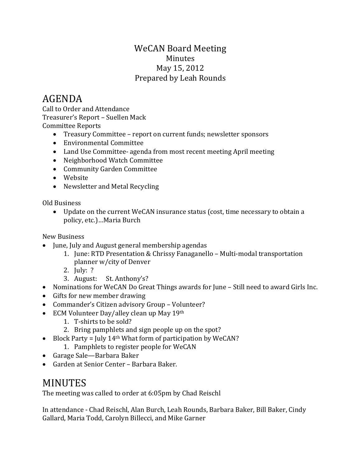## WeCAN Board Meeting Minutes May 15, 2012 Prepared by Leah Rounds

## AGENDA

Call to Order and Attendance Treasurer's Report – Suellen Mack Committee Reports

- Treasury Committee report on current funds; newsletter sponsors
- Environmental Committee
- Land Use Committee- agenda from most recent meeting April meeting
- Neighborhood Watch Committee
- Community Garden Committee
- Website
- Newsletter and Metal Recycling

Old Business

• Update on the current WeCAN insurance status (cost, time necessary to obtain a policy, etc.)…Maria Burch

New Business

- June, July and August general membership agendas
	- 1. June: RTD Presentation & Chrissy Fanaganello Multi-modal transportation planner w/city of Denver
	- 2. July: ?
	- 3. August: St. Anthony's?
- Nominations for WeCAN Do Great Things awards for June Still need to award Girls Inc.
- Gifts for new member drawing
- Commander's Citizen advisory Group Volunteer?
- ECM Volunteer Day/alley clean up May 19th
	- 1. T-shirts to be sold?
	- 2. Bring pamphlets and sign people up on the spot?
- Block Party = July 14<sup>th</sup> What form of participation by WeCAN?
	- 1. Pamphlets to register people for WeCAN
- Garage Sale—Barbara Baker
- Garden at Senior Center Barbara Baker.

## MINUTES

The meeting was called to order at 6:05pm by Chad Reischl

In attendance - Chad Reischl, Alan Burch, Leah Rounds, Barbara Baker, Bill Baker, Cindy Gallard, Maria Todd, Carolyn Billecci, and Mike Garner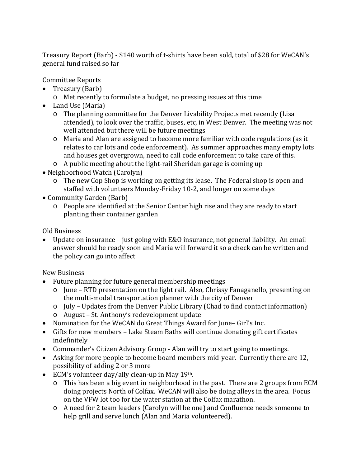Treasury Report (Barb) - \$140 worth of t-shirts have been sold, total of \$28 for WeCAN's general fund raised so far

Committee Reports

- Treasury (Barb)
	- o Met recently to formulate a budget, no pressing issues at this time
- Land Use (Maria)
	- o The planning committee for the Denver Livability Projects met recently (Lisa attended), to look over the traffic, buses, etc, in West Denver. The meeting was not well attended but there will be future meetings
	- o Maria and Alan are assigned to become more familiar with code regulations (as it relates to car lots and code enforcement). As summer approaches many empty lots and houses get overgrown, need to call code enforcement to take care of this.
	- o A public meeting about the light-rail Sheridan garage is coming up
- Neighborhood Watch (Carolyn)
	- o The new Cop Shop is working on getting its lease. The Federal shop is open and staffed with volunteers Monday-Friday 10-2, and longer on some days
- Community Garden (Barb)
	- o People are identified at the Senior Center high rise and they are ready to start planting their container garden

Old Business

• Update on insurance – just going with E&O insurance, not general liability. An email answer should be ready soon and Maria will forward it so a check can be written and the policy can go into affect

New Business

- Future planning for future general membership meetings
	- o June RTD presentation on the light rail. Also, Chrissy Fanaganello, presenting on the multi-modal transportation planner with the city of Denver
	- o July Updates from the Denver Public Library (Chad to find contact information)
	- o August St. Anthony's redevelopment update
- Nomination for the WeCAN do Great Things Award for June– Girl's Inc.
- Gifts for new members Lake Steam Baths will continue donating gift certificates indefinitely
- Commander's Citizen Advisory Group Alan will try to start going to meetings.
- Asking for more people to become board members mid-year. Currently there are 12, possibility of adding 2 or 3 more
- ECM's volunteer day/ally clean-up in May 19th.
	- o This has been a big event in neighborhood in the past. There are 2 groups from ECM doing projects North of Colfax. WeCAN will also be doing alleys in the area. Focus on the VFW lot too for the water station at the Colfax marathon.
	- o A need for 2 team leaders (Carolyn will be one) and Confluence needs someone to help grill and serve lunch (Alan and Maria volunteered).